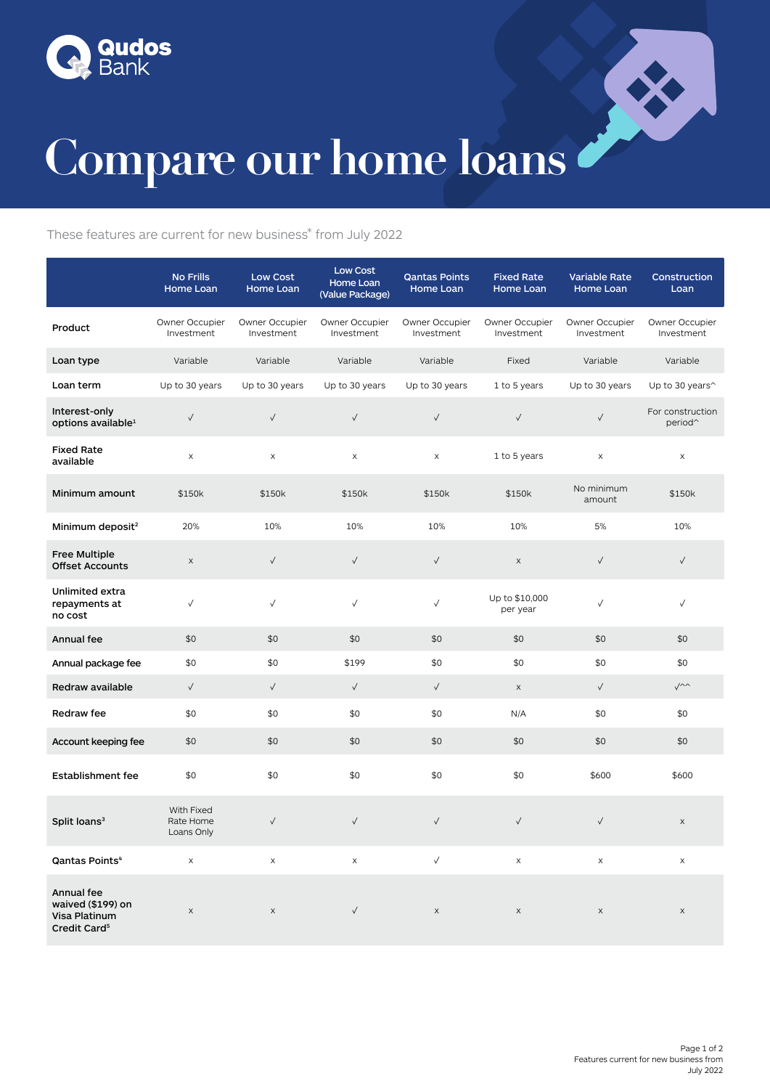



## Compare our home loans

These features are current for new business\* from July 2022

|                                                                              | <b>No Frills</b><br>Home Loan         | <b>Low Cost</b><br>Home Loan | <b>Low Cost</b><br>Home Loan<br>(Value Package) | Qantas Points<br>Home Loan   | <b>Fixed Rate</b><br>Home Loan | <b>Variable Rate</b><br>Home Loan | Construction<br>Loan                    |
|------------------------------------------------------------------------------|---------------------------------------|------------------------------|-------------------------------------------------|------------------------------|--------------------------------|-----------------------------------|-----------------------------------------|
| Product                                                                      | Owner Occupier<br>Investment          | Owner Occupier<br>Investment | Owner Occupier<br>Investment                    | Owner Occupier<br>Investment | Owner Occupier<br>Investment   | Owner Occupier<br>Investment      | Owner Occupier<br>Investment            |
| Loan type                                                                    | Variable                              | Variable                     | Variable                                        | Variable                     | Fixed                          | Variable                          | Variable                                |
| Loan term                                                                    | Up to 30 years                        | Up to 30 years               | Up to 30 years                                  | Up to 30 years               | 1 to 5 years                   | Up to 30 years                    | Up to 30 years^                         |
| Interest-only<br>options available <sup>1</sup>                              | $\checkmark$                          | $\checkmark$                 | $\checkmark$                                    | $\checkmark$                 | $\checkmark$                   | $\checkmark$                      | For construction<br>period <sup>^</sup> |
| <b>Fixed Rate</b><br>available                                               | X                                     | $\boldsymbol{\mathsf{X}}$    | $\mathsf X$                                     | $\mathsf X$                  | 1 to 5 years                   | $\boldsymbol{\times}$             | X                                       |
| Minimum amount                                                               | \$150k                                | \$150k                       | \$150k                                          | \$150k                       | \$150k                         | No minimum<br>amount              | \$150k                                  |
| Minimum deposit <sup>2</sup>                                                 | 20%                                   | 10%                          | 10%                                             | 10%                          | 10%                            | 5%                                | 10%                                     |
| <b>Free Multiple</b><br><b>Offset Accounts</b>                               | $\boldsymbol{\mathsf{X}}$             | $\checkmark$                 | $\checkmark$                                    | $\checkmark$                 | $\mathsf X$                    | $\checkmark$                      | $\checkmark$                            |
| Unlimited extra<br>repayments at<br>no cost                                  | $\checkmark$                          | $\checkmark$                 | $\checkmark$                                    | $\checkmark$                 | Up to \$10,000<br>per year     | $\checkmark$                      | √                                       |
| Annual fee                                                                   | \$0                                   | \$0                          | \$0                                             | \$0                          | \$0                            | \$0                               | \$0                                     |
| Annual package fee                                                           | \$0                                   | \$0                          | \$199                                           | \$0                          | \$0                            | \$0                               | \$0                                     |
| Redraw available                                                             | $\checkmark$                          | $\checkmark$                 | $\checkmark$                                    | $\checkmark$                 | $\mathsf X$                    | $\checkmark$                      | $\sqrt{2}$                              |
| <b>Redraw fee</b>                                                            | \$0                                   | \$0                          | \$0                                             | \$0                          | N/A                            | \$0                               | \$0                                     |
| Account keeping fee                                                          | \$0                                   | \$0                          | \$0                                             | \$0                          | \$0                            | \$0                               | \$0                                     |
| <b>Establishment fee</b>                                                     | \$0                                   | \$0                          | \$0                                             | \$0                          | \$0                            | \$600                             | \$600                                   |
| Split loans <sup>3</sup>                                                     | With Fixed<br>Rate Home<br>Loans Only | $\checkmark$                 | $\checkmark$                                    | $\checkmark$                 | $\checkmark$                   | $\checkmark$                      | $\mathsf X$                             |
| Qantas Points <sup>4</sup>                                                   | X                                     | $\mathsf X$                  | $\times$                                        | $\checkmark$                 | $\mathsf X$                    | X                                 | $\mathsf X$                             |
| Annual fee<br>waived (\$199) on<br>Visa Platinum<br>Credit Card <sup>5</sup> | X                                     | $\mathsf X$                  | $\checkmark$                                    | $\times$                     | $\boldsymbol{\mathsf{X}}$      | $\boldsymbol{\mathsf{X}}$         | $\boldsymbol{\mathsf{X}}$               |